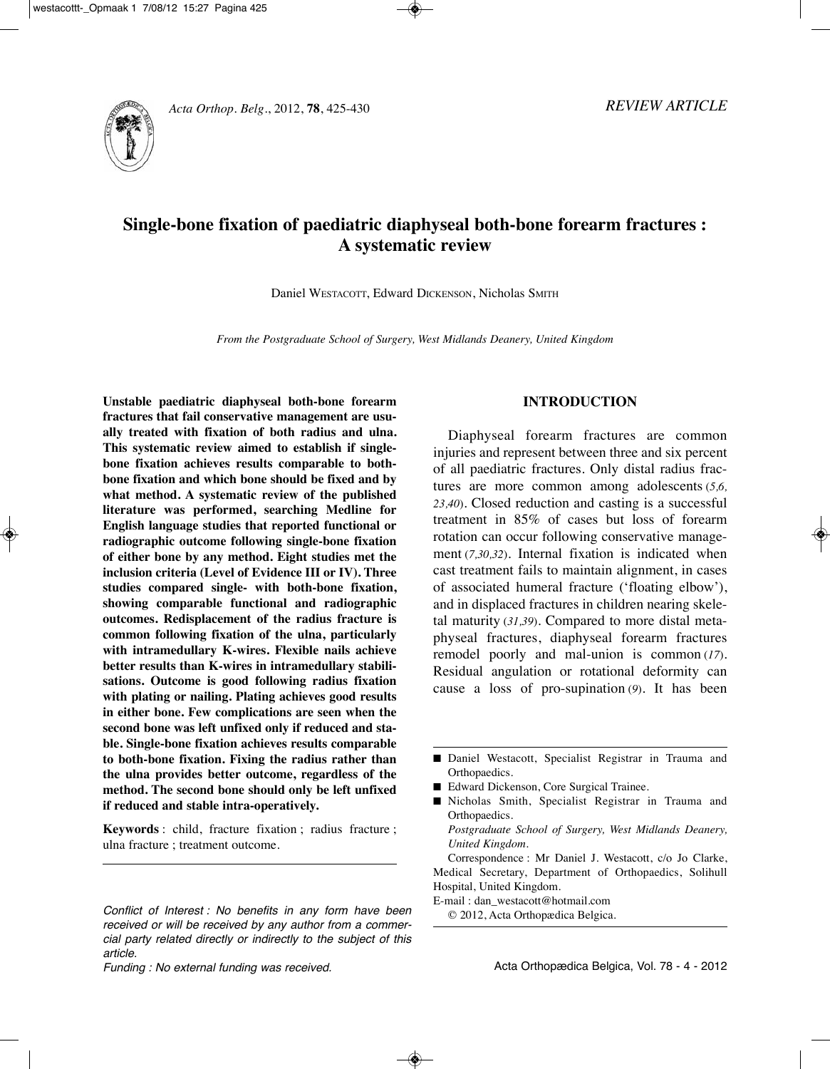# **Single-bone fixation of paediatric diaphyseal both-bone forearm fractures : A systematic review**

Daniel WESTACOTT, Edward DiCKENSON, Nicholas SMiTH

*From the Postgraduate School of Surgery, West Midlands Deanery, United Kingdom*

**unstable paediatric diaphyseal both-bone forearm fractures that fail conservative management are usually treated with fixation of both radius and ulna. this systematic review aimed to establish if singlebone fixation achieves results comparable to bothbone fixation and which bone should be fixed and by what method. A systematic review of the published literature was performed, searching Medline for English language studies that reported functional or radiographic outcome following single-bone fixation of either bone by any method. Eight studies met the inclusion criteria (Level of Evidence III or IV). three studies compared single- with both-bone fixation, showing comparable functional and radiographic outcomes. redisplacement of the radius fracture is common following fixation of the ulna, particularly with intramedullary K-wires. Flexible nails achieve better results than K-wires in intramedullary stabilisations. outcome is good following radius fixation with plating or nailing. Plating achieves good results in either bone. Few complications are seen when the second bone was left unfixed only if reduced and stable. Single-bone fixation achieves results comparable to both-bone fixation. Fixing the radius rather than the ulna provides better outcome, regardless of the method. the second bone should only be left unfixed if reduced and stable intra-operatively.**

**Keywords** : child, fracture fixation ; radius fracture ; ulna fracture ; treatment outcome.

# **IntroductIon**

Diaphyseal forearm fractures are common injuries and represent between three and six percent of all paediatric fractures. Only distal radius fractures are more common among adolescents (*5,6, 23,40*). Closed reduction and casting is a successful treatment in 85% of cases but loss of forearm rotation can occur following conservative management (7,30,32). Internal fixation is indicated when cast treatment fails to maintain alignment, in cases of associated humeral fracture ('floating elbow'), and in displaced fractures in children nearing skeletal maturity (*31,39*). Compared to more distal metaphyseal fractures, diaphyseal forearm fractures remodel poorly and mal-union is common (*17*). Residual angulation or rotational deformity can cause a loss of pro-supination (9). It has been

- Edward Dickenson, Core Surgical Trainee.
- **■** Nicholas Smith, Specialist Registrar in Trauma and Orthopaedics.

- E-mail : dan\_westacott@hotmail.com
	-

Conflict of Interest: No benefits in any form have been  $\bigcirc$  2012, Acta Orthopædica Belgica. received or will be received by any author from a commercial party related directly or indirectly to the subject of this article.

<sup>■</sup> Daniel Westacott, Specialist Registrar in Trauma and Orthopaedics.

*Postgraduate School of Surgery, West Midlands Deanery, United Kingdom.*

Correspondence : Mr Daniel J. Westacott, c/o Jo Clarke, Medical Secretary, Department of Orthopaedics, Solihull Hospital, United Kingdom.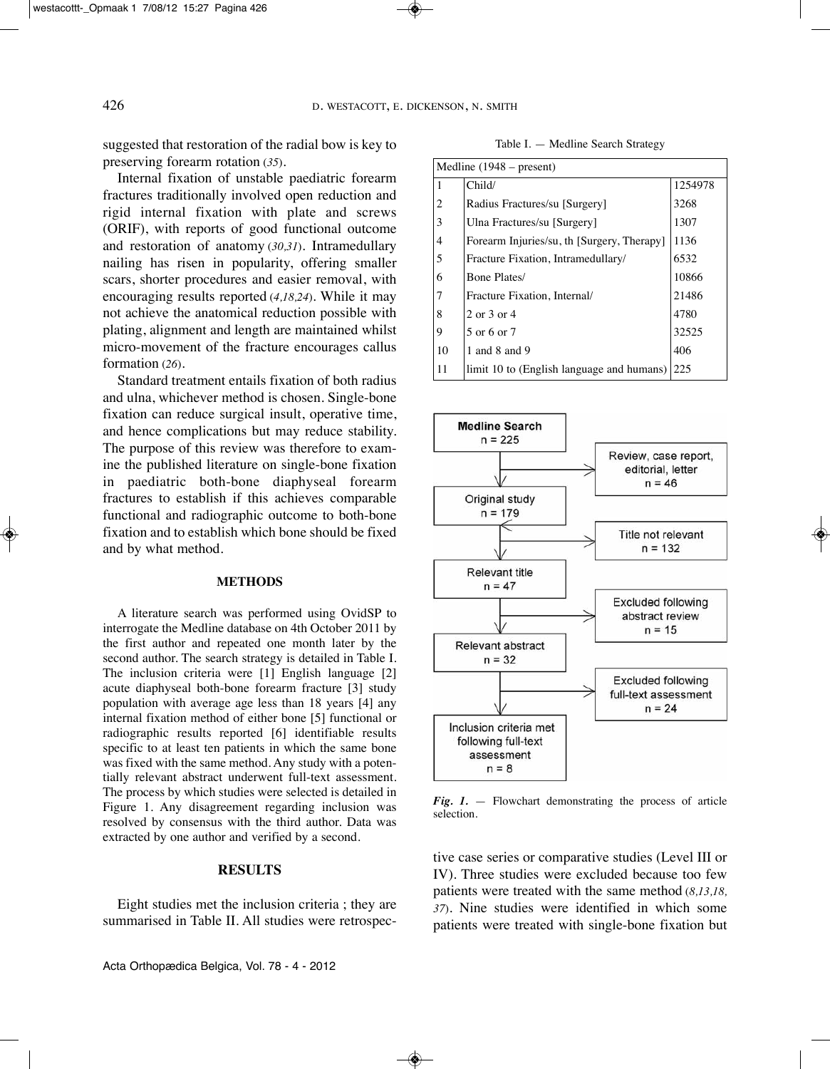suggested that restoration of the radial bow is key to preserving forearm rotation (*35*).

Internal fixation of unstable paediatric forearm fractures traditionally involved open reduction and rigid internal fixation with plate and screws (ORiF), with reports of good functional outcome and restoration of anatomy (30,31). Intramedullary nailing has risen in popularity, offering smaller scars, shorter procedures and easier removal, with encouraging results reported (*4,18,24*). While it may not achieve the anatomical reduction possible with plating, alignment and length are maintained whilst micro-movement of the fracture encourages callus formation (*26*).

Standard treatment entails fixation of both radius and ulna, whichever method is chosen. Single-bone fixation can reduce surgical insult, operative time, and hence complications but may reduce stability. The purpose of this review was therefore to examine the published literature on single-bone fixation in paediatric both-bone diaphyseal forearm fractures to establish if this achieves comparable functional and radiographic outcome to both-bone fixation and to establish which bone should be fixed and by what method.

#### **MEthodS**

A literature search was performed using OvidSP to interrogate the Medline database on 4th October 2011 by the first author and repeated one month later by the second author. The search strategy is detailed in Table I. The inclusion criteria were [1] English language [2] acute diaphyseal both-bone forearm fracture [3] study population with average age less than 18 years [4] any internal fixation method of either bone [5] functional or radiographic results reported [6] identifiable results specific to at least ten patients in which the same bone was fixed with the same method. Any study with a potentially relevant abstract underwent full-text assessment. The process by which studies were selected is detailed in Figure 1. Any disagreement regarding inclusion was resolved by consensus with the third author. Data was extracted by one author and verified by a second.

#### **rESuLtS**

Eight studies met the inclusion criteria ; they are summarised in Table II. All studies were retrospec-

Table I. - Medline Search Strategy

| Medline $(1948 - present)$ |                                            |         |  |  |  |
|----------------------------|--------------------------------------------|---------|--|--|--|
| 1                          | Child/                                     | 1254978 |  |  |  |
| 2                          | Radius Fractures/su [Surgery]              | 3268    |  |  |  |
| 3                          | Ulna Fractures/su [Surgery]                | 1307    |  |  |  |
| 4                          | Forearm Injuries/su, th [Surgery, Therapy] | 1136    |  |  |  |
| 5                          | Fracture Fixation, Intramedullary/         | 6532    |  |  |  |
| 6                          | Bone Plates/                               | 10866   |  |  |  |
| 7                          | Fracture Fixation, Internal/               | 21486   |  |  |  |
| 8                          | 2 or 3 or 4                                | 4780    |  |  |  |
| 9                          | 5 or 6 or 7                                | 32525   |  |  |  |
| 10                         | 1 and 8 and 9                              | 406     |  |  |  |
| 11                         | limit 10 to (English language and humans)  | 225     |  |  |  |



*Fig. 1.* — Flowchart demonstrating the process of article selection.

tive case series or comparative studies (Level III or IV). Three studies were excluded because too few patients were treated with the same method (*8,13,18, 37*). Nine studies were identified in which some patients were treated with single-bone fixation but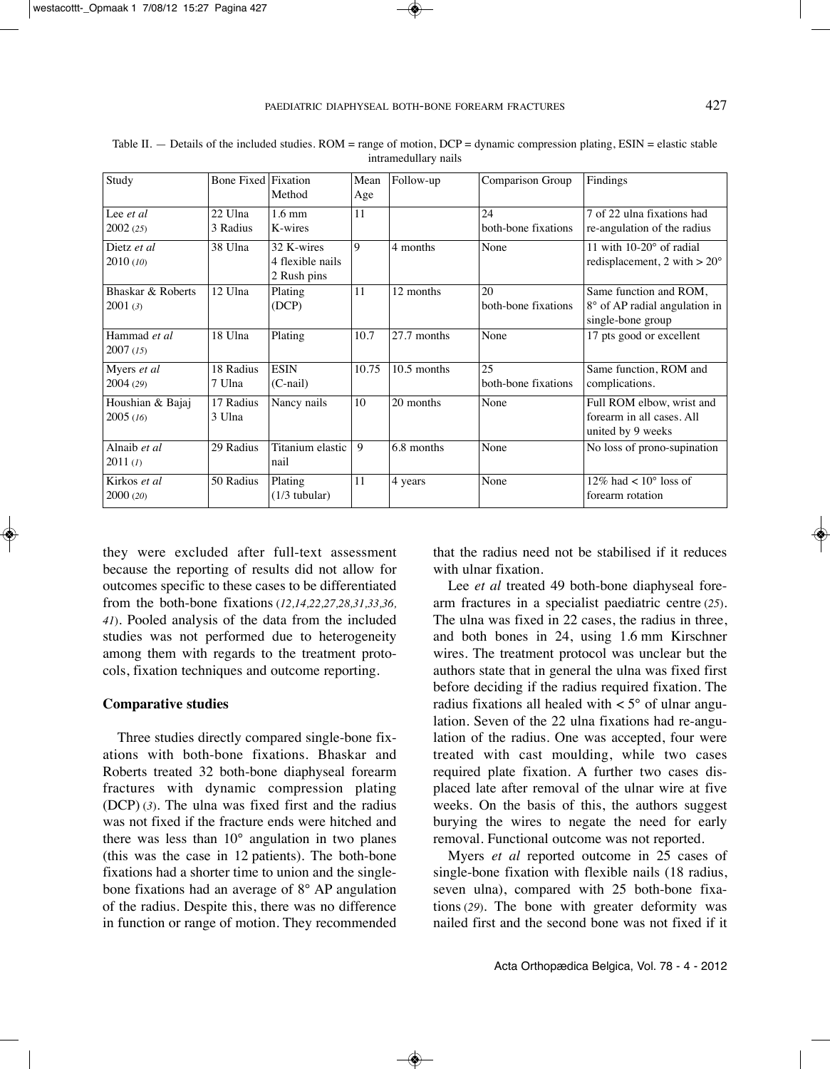| Study             | <b>Bone Fixed Fixation</b> |                  | Mean  | Follow-up     | Comparison Group    | Findings                              |
|-------------------|----------------------------|------------------|-------|---------------|---------------------|---------------------------------------|
|                   |                            | Method           | Age   |               |                     |                                       |
| Lee et al         | 22 Ulna                    | $1.6 \text{ mm}$ | 11    |               | 24                  | 7 of 22 ulna fixations had            |
| 2002(25)          | 3 Radius                   | K-wires          |       |               | both-bone fixations | re-angulation of the radius           |
| Dietz et al       | 38 Ulna                    | 32 K-wires       | 9     | 4 months      | None                | 11 with $10-20^\circ$ of radial       |
| 2010(10)          |                            | 4 flexible nails |       |               |                     | redisplacement, 2 with $> 20^{\circ}$ |
|                   |                            | 2 Rush pins      |       |               |                     |                                       |
| Bhaskar & Roberts | 12 Ulna                    | Plating          | 11    | 12 months     | 20                  | Same function and ROM,                |
| 2001(3)           |                            | (DCP)            |       |               | both-bone fixations | 8° of AP radial angulation in         |
|                   |                            |                  |       |               |                     | single-bone group                     |
| Hammad et al.     | 18 Ulna                    | Plating          | 10.7  | 27.7 months   | None                | 17 pts good or excellent              |
| 2007(15)          |                            |                  |       |               |                     |                                       |
| Myers et al       | 18 Radius                  | <b>ESIN</b>      | 10.75 | $10.5$ months | 25                  | Same function, ROM and                |
| 2004(29)          | 7 Ulna                     | $(C$ -nail)      |       |               | both-bone fixations | complications.                        |
| Houshian & Bajaj  | 17 Radius                  | Nancy nails      | 10    | 20 months     | None                | Full ROM elbow, wrist and             |
| 2005(16)          | 3 Ulna                     |                  |       |               |                     | forearm in all cases. All             |
|                   |                            |                  |       |               |                     | united by 9 weeks                     |
| Alnaib et al      | 29 Radius                  | Titanium elastic | 9     | 6.8 months    | None                | No loss of prono-supination           |
| 2011 (I)          |                            | nail             |       |               |                     |                                       |
| Kirkos et al      | 50 Radius                  | Plating          | 11    | 4 years       | None                | 12\% had $\lt$ 10 $\degree$ loss of   |
| 2000(20)          |                            | $(1/3$ tubular)  |       |               |                     | forearm rotation                      |

Table II.  $-$  Details of the included studies. ROM = range of motion, DCP = dynamic compression plating, ESIN = elastic stable intramedullary nails

they were excluded after full-text assessment because the reporting of results did not allow for outcomes specific to these cases to be differentiated from the both-bone fixations (*12,14,22,27,28,31,33,36, 41*). Pooled analysis of the data from the included studies was not performed due to heterogeneity among them with regards to the treatment protocols, fixation techniques and outcome reporting.

### **comparative studies**

Three studies directly compared single-bone fixations with both-bone fixations. Bhaskar and Roberts treated 32 both-bone diaphyseal forearm fractures with dynamic compression plating (DCP) (*3*). The ulna was fixed first and the radius was not fixed if the fracture ends were hitched and there was less than 10° angulation in two planes (this was the case in 12 patients). The both-bone fixations had a shorter time to union and the singlebone fixations had an average of 8° AP angulation of the radius. Despite this, there was no difference in function or range of motion. They recommended that the radius need not be stabilised if it reduces with ulnar fixation.

Lee *et al* treated 49 both-bone diaphyseal forearm fractures in a specialist paediatric centre (*25*). The ulna was fixed in 22 cases, the radius in three, and both bones in 24, using 1.6 mm Kirschner wires. The treatment protocol was unclear but the authors state that in general the ulna was fixed first before deciding if the radius required fixation. The radius fixations all healed with  $\lt 5^\circ$  of ulnar angulation. Seven of the 22 ulna fixations had re-angulation of the radius. One was accepted, four were treated with cast moulding, while two cases required plate fixation. A further two cases displaced late after removal of the ulnar wire at five weeks. On the basis of this, the authors suggest burying the wires to negate the need for early removal. Functional outcome was not reported.

Myers *et al* reported outcome in 25 cases of single-bone fixation with flexible nails (18 radius, seven ulna), compared with 25 both-bone fixations (*29*). The bone with greater deformity was nailed first and the second bone was not fixed if it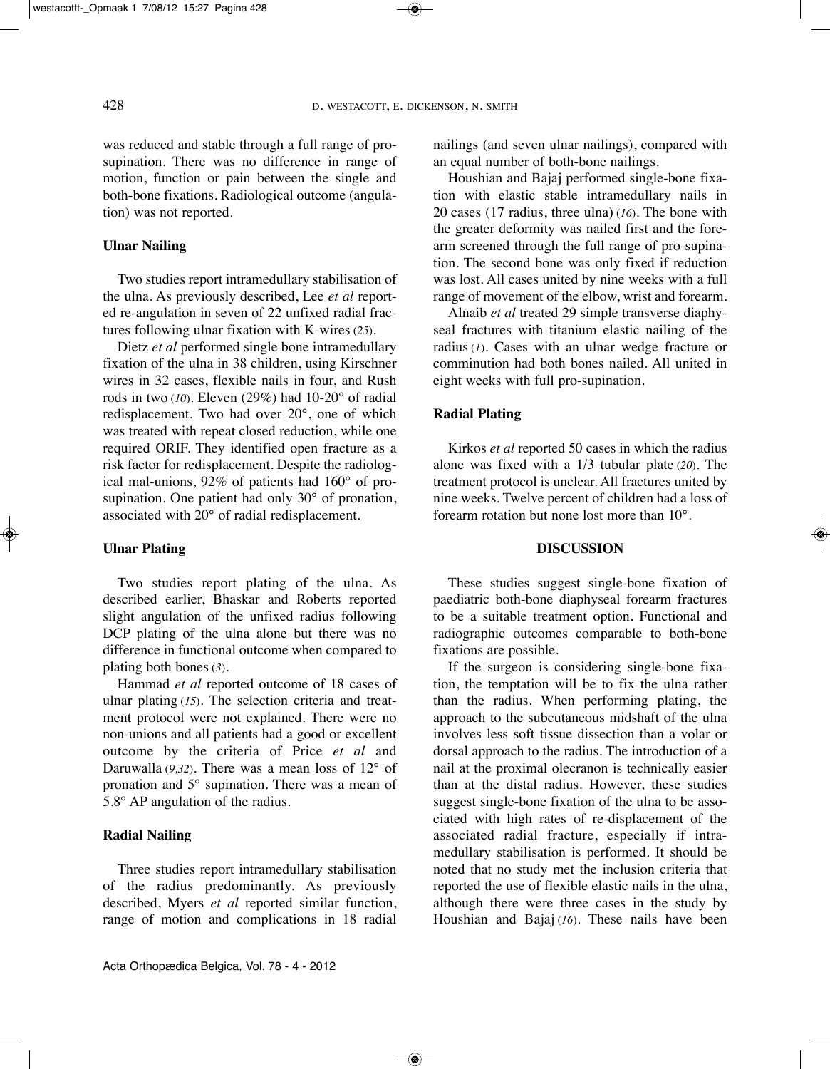was reduced and stable through a full range of prosupination. There was no difference in range of motion, function or pain between the single and both-bone fixations. Radiological outcome (angulation) was not reported.

## **ulnar nailing**

Two studies report intramedullary stabilisation of the ulna. As previously described, Lee *et al* reported re-angulation in seven of 22 unfixed radial fractures following ulnar fixation with K-wires (*25*).

Dietz *et al* performed single bone intramedullary fixation of the ulna in 38 children, using Kirschner wires in 32 cases, flexible nails in four, and Rush rods in two (*10*). Eleven (29%) had 10-20° of radial redisplacement. Two had over 20°, one of which was treated with repeat closed reduction, while one required ORiF. They identified open fracture as a risk factor for redisplacement. Despite the radiological mal-unions, 92% of patients had 160° of prosupination. One patient had only 30° of pronation, associated with 20° of radial redisplacement.

## **ulnar Plating**

Two studies report plating of the ulna. As described earlier, Bhaskar and Roberts reported slight angulation of the unfixed radius following DCP plating of the ulna alone but there was no difference in functional outcome when compared to plating both bones (*3*).

Hammad *et al* reported outcome of 18 cases of ulnar plating (*15*). The selection criteria and treatment protocol were not explained. There were no non-unions and all patients had a good or excellent outcome by the criteria of Price *et al* and Daruwalla (*9,32*). There was a mean loss of 12° of pronation and 5° supination. There was a mean of 5.8° AP angulation of the radius.

# **radial nailing**

Three studies report intramedullary stabilisation of the radius predominantly. As previously described, Myers *et al* reported similar function, range of motion and complications in 18 radial nailings (and seven ulnar nailings), compared with an equal number of both-bone nailings.

Houshian and Bajaj performed single-bone fixation with elastic stable intramedullary nails in 20 cases (17 radius, three ulna) (*16*). The bone with the greater deformity was nailed first and the forearm screened through the full range of pro-supination. The second bone was only fixed if reduction was lost. All cases united by nine weeks with a full range of movement of the elbow, wrist and forearm.

Alnaib *et al* treated 29 simple transverse diaphyseal fractures with titanium elastic nailing of the radius (*1*). Cases with an ulnar wedge fracture or comminution had both bones nailed. All united in eight weeks with full pro-supination.

# **radial Plating**

Kirkos *et al* reported 50 cases in which the radius alone was fixed with a 1/3 tubular plate (*20*). The treatment protocol is unclear. All fractures united by nine weeks. Twelve percent of children had a loss of forearm rotation but none lost more than 10°.

## **dIScuSSIon**

These studies suggest single-bone fixation of paediatric both-bone diaphyseal forearm fractures to be a suitable treatment option. Functional and radiographic outcomes comparable to both-bone fixations are possible.

If the surgeon is considering single-bone fixation, the temptation will be to fix the ulna rather than the radius. When performing plating, the approach to the subcutaneous midshaft of the ulna involves less soft tissue dissection than a volar or dorsal approach to the radius. The introduction of a nail at the proximal olecranon is technically easier than at the distal radius. However, these studies suggest single-bone fixation of the ulna to be associated with high rates of re-displacement of the associated radial fracture, especially if intramedullary stabilisation is performed. it should be noted that no study met the inclusion criteria that reported the use of flexible elastic nails in the ulna, although there were three cases in the study by Houshian and Bajaj (*16*). These nails have been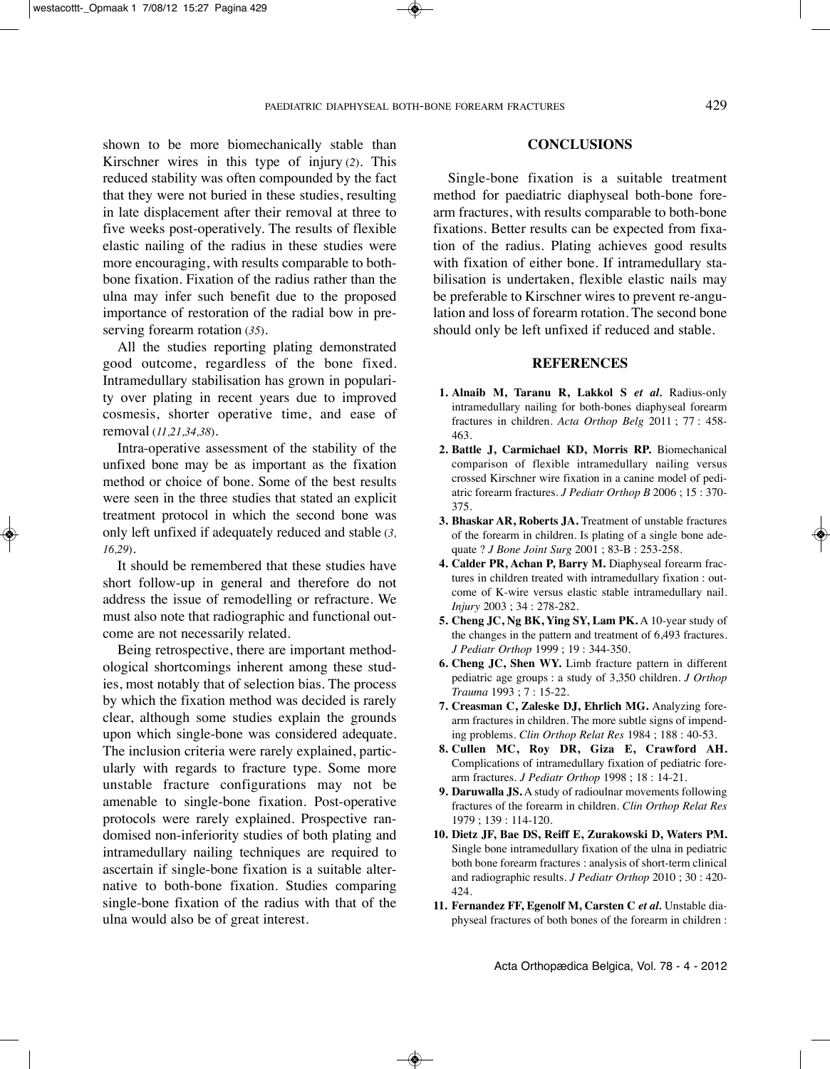shown to be more biomechanically stable than Kirschner wires in this type of injury (*2*). This reduced stability was often compounded by the fact that they were not buried in these studies, resulting in late displacement after their removal at three to five weeks post-operatively. The results of flexible elastic nailing of the radius in these studies were more encouraging, with results comparable to bothbone fixation. Fixation of the radius rather than the ulna may infer such benefit due to the proposed importance of restoration of the radial bow in pre-

All the studies reporting plating demonstrated good outcome, regardless of the bone fixed. Intramedullary stabilisation has grown in popularity over plating in recent years due to improved cosmesis, shorter operative time, and ease of removal (*11,21,34,38*).

serving forearm rotation (*35*).

Intra-operative assessment of the stability of the unfixed bone may be as important as the fixation method or choice of bone. Some of the best results were seen in the three studies that stated an explicit treatment protocol in which the second bone was only left unfixed if adequately reduced and stable (*3, 16,29*).

It should be remembered that these studies have short follow-up in general and therefore do not address the issue of remodelling or refracture. We must also note that radiographic and functional outcome are not necessarily related.

Being retrospective, there are important methodological shortcomings inherent among these studies, most notably that of selection bias. The process by which the fixation method was decided is rarely clear, although some studies explain the grounds upon which single-bone was considered adequate. The inclusion criteria were rarely explained, particularly with regards to fracture type. Some more unstable fracture configurations may not be amenable to single-bone fixation. Post-operative protocols were rarely explained. Prospective randomised non-inferiority studies of both plating and intramedullary nailing techniques are required to ascertain if single-bone fixation is a suitable alternative to both-bone fixation. Studies comparing single-bone fixation of the radius with that of the ulna would also be of great interest.

#### **concLuSIonS**

Single-bone fixation is a suitable treatment method for paediatric diaphyseal both-bone forearm fractures, with results comparable to both-bone fixations. Better results can be expected from fixation of the radius. Plating achieves good results with fixation of either bone. If intramedullary stabilisation is undertaken, flexible elastic nails may be preferable to Kirschner wires to prevent re-angulation and loss of forearm rotation. The second bone should only be left unfixed if reduced and stable.

#### **rEFErEncES**

- **1. Alnaib M, taranu r, Lakkol S** *et al.* Radius-only intramedullary nailing for both-bones diaphyseal forearm fractures in children. *Acta Orthop Belg* 2011 ; 77 : 458- 463.
- **2. Battle J, carmichael Kd, Morris rP.** Biomechanical comparison of flexible intramedullary nailing versus crossed Kirschner wire fixation in a canine model of pediatric forearm fractures. *J Pediatr Orthop B* 2006 ; 15 : 370- 375.
- **3. Bhaskar Ar, roberts JA.** Treatment of unstable fractures of the forearm in children. is plating of a single bone adequate ? *J Bone Joint Surg* 2001 ; 83-B : 253-258.
- **4. calder Pr, Achan P, Barry M.** Diaphyseal forearm fractures in children treated with intramedullary fixation : outcome of K-wire versus elastic stable intramedullary nail. *Injury* 2003 ; 34 : 278-282.
- **5. cheng Jc, ng BK, Ying SY, Lam PK.** A 10-year study of the changes in the pattern and treatment of 6,493 fractures. *J Pediatr Orthop* 1999 ; 19 : 344-350.
- **6. cheng Jc, Shen WY.** Limb fracture pattern in different pediatric age groups : a study of 3,350 children. *J Orthop Trauma* 1993 ; 7 : 15-22.
- **7. creasman c, Zaleske dJ, Ehrlich MG.** Analyzing forearm fractures in children. The more subtle signs of impending problems. *Clin Orthop Relat Res* 1984 ; 188 : 40-53.
- **8. cullen Mc, roy dr, Giza E, crawford Ah.** Complications of intramedullary fixation of pediatric forearm fractures. *J Pediatr Orthop* 1998 ; 18 : 14-21.
- **9. Daruwalla JS.** A study of radioulnar movements following fractures of the forearm in children. *Clin Orthop Relat Res* 1979 ; 139 : 114-120.
- **10. dietz JF, Bae dS, reiff E, Zurakowski d, Waters PM.** Single bone intramedullary fixation of the ulna in pediatric both bone forearm fractures : analysis of short-term clinical and radiographic results. *J Pediatr Orthop* 2010 ; 30 : 420- 424.
- **11. Fernandez FF, Egenolf M, carsten c** *et al.* Unstable diaphyseal fractures of both bones of the forearm in children :